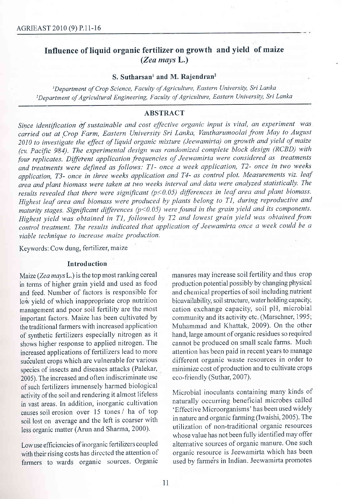# Influence of liquid organic fertilizer on growth and yield of maize (Zea maysL.)

#### S. Sutharsan<sup>1</sup> and M. Rajendran<sup>2</sup>

<sup>1</sup>Department of Crop Science, Faculty of Agriculture, Eastern University, Sri Lanka 2Department of Agricultural Engineering, Faculty of Agriculture, Eastern University, Sri Lanka

## ABSTRACT

Since identification of sustainable and cost effective organic input is vital, an experiment was carried out at Crop Farm, Eastern University Sri Lanka, Vantharumoolai from May to August 2010 to investigate the effect of liquid organic mixture (Jeewamirta) on growth and yield of maize (cv. Pacific 984). The experimental design was randomized complete block design (RCBD) with four replicates. Different application frequencies of Jeewamirta were considered as treatments and treatments were defined as follows; Tl- once a week application, T2- once in two weeks application, T3- once in three weeks application and T4- as control plot. Measurements viz. leaf irian and plant biomass were taken at two weeks interval and data were analyzed statistically. The results revealed that there were significant  $(p<0.05)$  differences in leaf area and plant biomass. Highest leaf area and biomass were produced by plants belong to T1, during reproductive and maturity stages. Significant differences  $(p<0.05)$  were found in the grain yield and its components. Highest yield was obtained in TI, followed by T2 and lowest grain yield was obtained from control treatment. The results indicated that application of Jeewamirta once a week could be <sup>a</sup> viable technique to increase maize production.

Keywords: Cow dung, fertilizer, maize

## Introduction

low yield of which inappropriate crop nutrition management and poor soil fertility are the most important factors. Maize has been cultivated by shows higher response to applied nitrogen. The increased applications of fertilizers lead to more succulent crops which are vulnerable for various species of insects and diseases attacks (Palekar, 2005). The increased and often indiscriminate use of such fertilizers immensely harmed biological activity of the soil and rendering it almost lifeless Microbial inoculants containing many kinds of<br>in yest creas. In addition, inorganic cultivation naturally occurring beneficial microbes called

with their rising costs has directed the attention of organic resource is Jeewamirta which has been<br>farmers to wards organic sources. Organic used by farmers in Indian. Jeewamirta promotes farmers to wards organic sources. Organic

Maize (Zea mays L.) is the top most ranking cereal manures may increase soil fertility and thus crop<br>in terms of higher grain vield and used as food production potential possibly by changing physical in terms of higher grain yield and used as food production potential possibly by changing physical<br>and feed. Number of factors is responsible for and chemical properties of soil including nutrient and feed. Number of factors is responsible for and chemical properties of soil including nutrient<br>low vield of which inappropriate crop nutrition bioavailability, soil structure, water holding capacity, cation exchange capacity, soil pH, microbial community and its activity etc. (Marschner, 1995; the traditional farmers with increased application Muhammad and Khattak, 2009). On the other of synthetic fertilizers especially nitrogen as it hand, large amount of organic residues so required hand, large amount of organic residues so required<br>cannot be produced on small scale farms. Much attention has been paid in recent years to manage<br>different organic waste resources in order to minimize cost of production and to cultivate crops<br>eco-friendly (Suthar, 2007).

in vast areas. In addition, inorganic cultivation naturally occurring beneficial microbes called<br>equal original microbes over 15 tones / hand from <br>Effective Microorganisms' has been used widely causes soil erosion over 15 tones / ha of top 'Effective Microorganisms' has been used widely<br>soil lost on average and the left is coarser with in nature and organic farming (Iwaishi, 2005). The soil lost on average and the left is coarser with in nature and organic farming (Iwaishi, 2005). The less organic matter (Arun and Sharma 2000) less organic matter (Arun and Sharma, 2000). utilization of non-traditional organic resources<br>
whose value has not been fully identified may offer<br>
Low use efficiencies of inorganic fertilizers coupled alternative sources Low use efficiencies of inorganic fertilizers coupled alternative sources of organic manure. One such<br>with their rising costs has directed the attention of organic resource is Jeewamirta which has been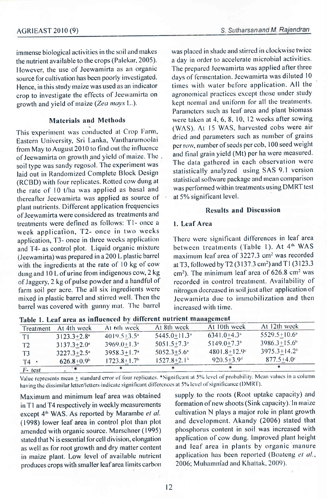#### AGRIEAST 2010 (9)

immense biological activities in the soil and makes the nutrient available to the crops (Palekar, 2005). However, the use of Jeewamirta as an organic source for cultivation has been poorly investigated. Hence, in this study maize was used as an indicator crop to investigate the effects of Jeewamirta on growth and yield of maize (Zea mays L.).

## Materials and Methods

This experiment was conducted at Crop Farm, Eastern University, Sri Lanka, Vantharumoolai from May to August 2010 to find out the influence of Jeewamirta on growth and yield of maize. The soil type was sandy regosol. The experiment was laid out in Randomized Complete Block Design (RCBD) with four replicates. Rotted cow dung at the rate of  $10$  t/ha was applied as basal and therealter Jeewamirta was applied as source of plant nutrients. Different application frequencies of Jeewamirta were considered as treatments and treatments were defined as follows: T1- once a week application, T2- once in two weeks application, T3- once in three weeks application and T4- as control plot. Liquid organic mixture (Jeewarnirta) was prepared in a 200 L plastic barrel with the ingredients at the rate of  $10 \text{ kg}$  of cow dung and 10 L of urine from indigenous cow, 2 kg of Jaggery, 2 kg of pulse powder and a handful of farm soil per acre. The all six ingredients were mixed in plastic barrel and stirred well. Then the barrel was covered with gunny mat. The barrel

was placed in shade and stirred in clockwise twice a day in order to accelerate microbial activities. The prepared Jeewamirta was applied after three days of fermentation. Jeewamirta was diluted 10 times with water before application. All the agronomical practices except those under study kept normal and uniform for all the treatments. Parameters such as leaf area and plant biomass were taken at 4, 6, 8, 10, 12 weeks after sowing (WAS). At 15 WAS, harvested cobs were air dried and parameters such as number of grains per row, number of seeds per cob, 100 seed weight and final grain yield (Mt) per ha were measured. The data gathered in each observation were statistically analyzed using SAS 9.1 version statistical software package and mean comparison was performed within treatments using DMRT test at  $5%$  significant level.

#### **Results and Discussion**

## l. Lenf Arcn

There were significant differences in leaf area between treatments (Table 1). At 4<sup>th</sup> WAS maximum leaf area of  $3227.3$  cm<sup>2</sup> was recorded at T3, followed by T2 (3137.3 cm<sup>2</sup>) and T1 (3123.3) cm<sup>2</sup>). The minimum leaf area of  $626.8$  cm<sup>2</sup> was recorded in control treatment. Availability of nitrogen decreased in soil just after application of Jeewamirta due to immobilization and then increased with time.

| Treatment      | At 4th week                 | At 6th week                 | At 8th week                  | At 10th week                 | At 12th week                 |
|----------------|-----------------------------|-----------------------------|------------------------------|------------------------------|------------------------------|
| T1             | $3123.3 + 2.8$ "            | $4019.5 + 3.5$ <sup>a</sup> | $5445.0 + 11.3$ <sup>a</sup> | $6341.0 + 4.3$               | $5529.5 \pm 10.6^{\circ}$    |
| T <sub>2</sub> | $3137.3 + 2.0$ <sup>a</sup> | $3969.0 + 1.3$ <sup>*</sup> | $5051.5 + 7.3$ <sup>a</sup>  | $5149.0+7.3b$                | $3986.3 + 15.6$ <sup>b</sup> |
| T <sub>3</sub> | $3227.3 + 2.5$ <sup>a</sup> | $3958.3 + 1.7$ <sup>*</sup> | $5052.3 + 5.6$ <sup>n</sup>  | $4801.8 + 12.9$              | $3975.3 + 14.2b$             |
| Т4             | $626.8+0.9b$                | $1723.8 + 1.7b$             | $1527.8+2.1b$                | $920.5 \pm 3.9$ <sup>d</sup> | $877.5 + 4.0$ °              |
| F-test         |                             |                             |                              |                              |                              |

Table 1. Leaf area as influenced by different nutrient management

T- test<br>Value represents mean ± standard error of four replicates. \*Significant at 5% level of probability. Mean values in a column having the dissimilar letter/letters indicate significant differences at 5% level of significance (DMRT).

in T1 and T4 respectively in weekly measurements formation of new shoots (Sink capacity). In maize except  $4^{\text{th}}$  WAS As reported by Marambe *et al.* cultivation N plays a major role in plant growth except 4<sup>th</sup> WAS. As reported by Marambe *et al.* cultivation N plays a major role in plant growth (1998) lower leaf area in control plot than plot and development. Akandy (2006) stated that (1998) lower leaf area in control plot than plot and development. Akandy (2006) stated that amended with organic source Marschner (1995) phosphorus content in soil was increased with amended with organic source. Marschner (1995) stated that N is essential for cell division, elongation application of cow dung. Improved plant height as the region of cowth and dry matter content and leaf area in plants by organic manure as well as for root growth and dry matter content and leaf area in plants by organic manure<br>in maize plant. Low level of available nutrient application has been reported (Boateng *et al.*, in maize plant. Low level of available nutrient application has been reported (Boate<br>produces crops with smaller leaf area limits carbon 2006; Muhammad and Khattak, 2009). produces crops with smaller leaf area limits carbon

Maximum and minimum leaf area was obtained supply to the roots (Root uptake capacity) and<br>in T1 and T4 respectively in weekly measurements formation of new shoots (Sink capacity). In maize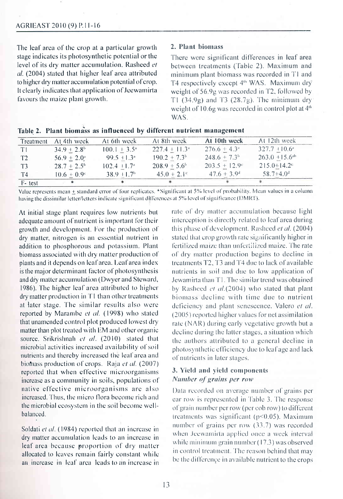The leaf area of the crop at a particular growth stage indicates its photosynthetic potential or the level of its dry matter accumulation. Rasheed et al. (2004) stated that higher leaf area attributed to higher dry matter accumulation potential of crop. It clearly indicates that application of Jeewamirta favours the maize plant growth.

#### 2. Plant biomass

There were significant differences in leaf area between treatments (Table 2). Maximum and minimum plant biomass was recorded in T1 and T4 respectively except 4<sup>th</sup> WAS. Maximum dry weight of 56.9g was recorded in T2, followed by T1  $(34.9g)$  and T3  $(28.7g)$ . The minimum dry weight of 10.6g was recorded in control plot at  $4<sup>th</sup>$ WAS.

| F-test         | $ -$                      |                              |                          |                              |                                |
|----------------|---------------------------|------------------------------|--------------------------|------------------------------|--------------------------------|
| T4             | $10.6 \pm 0.9^{\circ}$    | $38.9 + 1.7b$                | $45.0 \pm 2.1^{\circ}$   | $47.6 \pm 3.9^{\circ}$       | $58.7 + 4.0d$                  |
| T <sub>3</sub> | $28.7 + 2.5^{\circ}$      | $102.4 \pm 1.7$ <sup>a</sup> | $208.9 + 5.6^{\circ}$    | $203.5 + 12.9$ <sup>cl</sup> | $215.0 + 14.2$ <sup>el</sup>   |
| T <sub>2</sub> | $56.9 + 2.0$ <sup>a</sup> | $99.5 + 1.3$ <sup>*</sup>    | $190.2 + 7.3b$           | $248.6 \pm 7.3^{\circ}$      | $263.0 \pm 15.6$ <sup>ab</sup> |
| T1             | $34.9 \pm 2.8^{\circ}$    | $100.1 + 3.5^{\circ}$        | $227.4 \pm 11.3^{\circ}$ | $276.6 \pm 4.3^{\circ}$      | $327.7 + 10.6^{\circ}$         |
| Treatment      | At 4th week               | At 6th week                  | At 8th week              | At 10th week                 | At 12th week                   |

| Table 2. Plant biomass as influenced by different nutrient management |  |  |  |  |
|-----------------------------------------------------------------------|--|--|--|--|
|-----------------------------------------------------------------------|--|--|--|--|

Value represents mean + standard error of four replicates. \*Significant at 5% level of probability. Mean values in a column having the dissimilar letter/letters indicate significant differences at 5% level of significance (DMRT).

At initial stage plant requires low nutrients but adequate amount of nutrient is important for their growth and development. For the production of dry matter, nitrogen is an essential nutrient in addition to phosphorous and potassium. Plant biomass associated with dry matter production of plants and it depends on leaf area. Leaf area index is the major determinant factor of photosynthesis and dry matter accumulation (Dwyer and Steward, 1986). The higher leaf area attributed to higher dry matter production in T1 than other treatments at later stage. The similar results also were reported by Marambe et al. (1998) who stated that unamended control plot produced lowest dry matter than plot treated with EM and other organic source. Srikrishnah et al. (2010) stated that microbial activities increased availability of soil nutrients and thereby increased the leaf area and biomass production of crops. Raja et al. (2007) reported that when effective microorganisms increase as a community in soils, populations of native effective microorganisms are also increased. Thus, the micro flora become rich and the microbial ecosystem in the soil become wellbalanced.

Soldati et al. (1984) reported that an increase in dry matter accumulation leads to an increase in leaf area because proportion of dry matter allocated to leaves remain fairly constant while an increase in leaf area leads to an increase in rate of dry matter accumulation because light interception is directly related to leaf area during this phase of development. Rasheed *et al.* (2004). stated that erop growth rate significantly higher in fertilized maize than unfertilized maize. The rate of dry matter production begins to decline in treatments T2, T3 and T4 due to lack of available nutrients in soil and due to low application of Jewamirta than T1. The similar trend was obtained by Rasheed et al.(2004) who stated that plant biomass decline with time due to nutrient deficiency and plant senescence. Valero et al. (2005) reported higher values for net assimilation rate (NAR) during early vegetative growth but a decline during the latter stages, a situation which the authors attributed to a general decline in photosynthetic efficiency due to leaf age and lack of nutrients in later stages.

## 3. Yield and yield components Number of grains per row

Data recorded on average number of grains per ear row is represented in Table 3. The response of grain number per row (per cob row) to different treatments was significant ( $p<0.05$ ). Maximum number of grains per row (33.7) was recorded when Jeewamirta applied once a week interval while minimum grain number  $(17.3)$  was observed in control treatment. The reason behind that may be the difference in available nutrient to the crops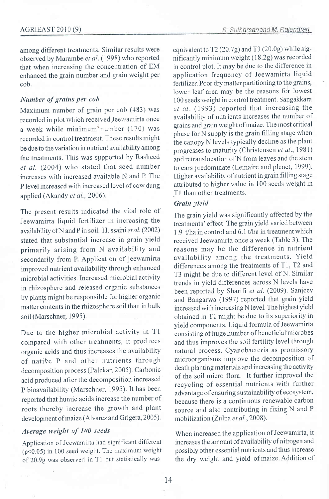among different treatments. Similar results were observed by Marambe et al. (1998) who reported that when increasing the concentration of EM enhanced the grain number and grain weight per cob.

## Number of grains per cob

Maximum number of grain per ecb (483) was recorded in plot which received Jeewamirta once a week while minimum'number (170) was recorded in control treatment. These results might be due to the variation in nutrient availability among the treatments. This was supported by Rasheed et al. (2004) who stated that seed number increases with increased available N and P. The P level increased with increased level of cow dung applied (Akandy et al., 2006).

The present results indieated the vital role of Jeewamirta liquid fertilizer in increasing the availability of N and P in soil. Hussaini et al. (2002) stated that substantial increase in grain yield primarily arising from N availability and secondarily from P. Application of jeewamirta improved nutrient availability through enhanced microbial activities. Increased microbial activity in rhizosphere and released organic substances by plants might be responsible for higher organic matter contents in the rhizosphere soil than in bulk soil (Marschner, 1995).

Due to the higher microbial activity in T1 compared with other treatments, it produces organic acids and thus increases the availability of native P and other nutrients through decomposition process (Palekar, 2005). Carbonic acid produced after the decomposition increased P bioavailability (Marschner, 1995). It has been reported that humic acids increase the number of roots thereby increase the growth and plant development of maize (Alvarez and Grigera, 2005).

## Average weight of 100 seeds

Application of Jeewamirta had significant different ( $p$ <0.05) in 100 seed weight. The maximum weight of 20.9g was observed in Tl but statistically was

equivalent to  $T2(20.7g)$  and T3 (20.0g) while significantly minimum weight  $(18.2g)$  was recorded in control plot. It may be due to the difference in application frequency of Jeewamirta liquid fertilizer. Poor dry matter partitioning to the grains, lower leaf area may be the reasons for lowest 100 seeds weight in control treatment. Sangakkara et al. (1993) reported that increasing the availability of nutrients increases the number of grains and grain weight of maize. The rnost critical phase for N supply is the grain filling stage when the canopy N levels typically decline as the plant progresses to maturity (Christensen et al., 1981) and retranslocation of N from leaves and the stem to ears predominate (Lemaire and plenet, 1999). Higher availability of nutrient in grain filling stage attributed to higher value in 100 seeds weight in Tl than other treatments.

## Grain yield

The grain yield was significantly affected by the treatments' effect. The grain yield varied between 1.9 t/ha in control and 6.1 t/ha in treatment which received Jeewamirta onee a week (Table 3). The reasons may be the difference in nutrient availability among the treatments. Yield differences among the treatments of T1, T2 and T3 might be due to different level of N. Similar trends in yield differences across N levels have been reported by Sharifi et al. (2009). Sanjeev and Bangarwa (1997) reported that grain yield increased with increasing N level. The highest yield obtained in T1 might be due to its superiority in yield components. Liquid formula of Jeewamirta consisting of huge number of beneficial'microbes and thus improves the soil fertility level through natural process. Cyanobacteria as promissory rnicroorganisms improve the decomposition of death planting materials and increasing the activity of the soil micro flora. It further improved the recycling of essential nutrients with further advantage of ensuring sustainability of ecosystem, because there is a continuous renewable carbon source and also contributing in fixing N and <sup>P</sup> mobilization (Zulpa et al., 2008).

When increased the application of Jeewamirta, it increases the amount of availabiliry of nitrogen and possibly other essential nutrients and thus increase the dry weight and yield of maize. Addition of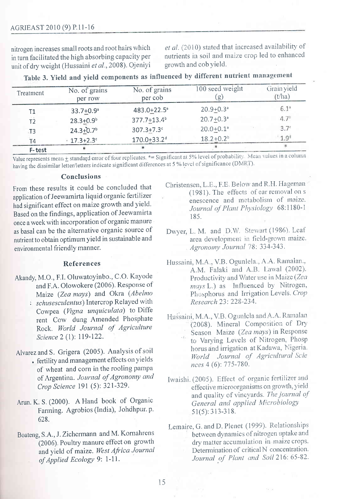nitrogen increases small roots and root hairs which in turn facilitated the high absorbing capacity per unit of dry weight (Hussaini et al., 2008). Ojeniyi et al. (2010) stated that increased availability of nutrients in soil and maize crop led to enhanced growth and cob yield.

| Treatment      | No. of grains<br>per row | No. of grains<br>per cob    | 100 seed weight<br>(g)    | Grain yield<br>$(t/\text{ha})$ |
|----------------|--------------------------|-----------------------------|---------------------------|--------------------------------|
| Т1             | $33.7 + 0.9^{\circ}$     | 483.0+22.5 <sup>a</sup>     | $20.9 + 0.3$ <sup>a</sup> | 6.1 <sup>a</sup>               |
| T <sub>2</sub> | $28.3 + 0.9b$            | 377.7+13.4 <sup>b</sup>     | $20.7 + 0.3$ <sup>a</sup> | 4.7 <sup>b</sup>               |
| T <sub>3</sub> | $24.3 + 0.7b$            | $307.3 + 7.3$ c             | $20.0 + 0.1$ <sup>a</sup> | $3.7^\circ$                    |
| T4             | $17.3 + 2.3$ °           | $170.0 + 33.2$ <sup>d</sup> | $18.2 + 0.2^b$            | 1.9 <sup>d</sup>               |
| $E$ -tact      |                          |                             |                           |                                |

Table 3. Yield and yield components as influenced by different nutrient management

Value represents mean + standard error of four replicates. \*= Significant at 5% level of probability. Mean values in a column having the dissimilar letter/letters indicate significant differences at 5 % level of significance (DMRT).

#### Conclusions

From these results it could be concluded that application of Jeewamirta liquid organic fertilizer had significant effect on maize growth and yield. Based on the findings, application of Jeewamirta once a week with incorporation of organic manure as basal can be the alternative organic source of nutrient to obtain optimum yield in sustainable and environmental friendly manner.

## References

- Akandy, M.O., F.I. Oluwatoyinbo., C.O. Kayode and F.A. Olowokere (2006). Response of Maize (Zea mays) and Okra (Abelmo
	- : schusesculentus) Intercrop Relayed with Cowpea (Vigna unquiculata) to Diffe rent Cow dung Amended Phosphate Rock. World Journal of Agriculture Science 2 (1): 119-122.

Alvarez and S. Grigera (2005). Analysis of soil

- · fertility and management effects on yields of wheat and corn in the rooling pampa of Argentina. Journal of Agronomy and Crop Science 191 (5): 321-329.
- Arun. K. S. (2000). A Hand book of Organic Farming. Agrobios (India), Johdhpur. p. 628.
- Boateng, S.A., J. Zichermann and M. Kornahrens (2006). Poultry manure effect on growth and yield of maize. West Africa Journal of Applied Ecology 9: 1-11.
- Christensen, L.E., F.E. Below and R.H. Hageman (1981). The effects of ear removal on s enescence and metabolism of maize. Journal of Plant Physiology 68:1180-1 185.
- Dwyer, L. M. and D.W. Stewart (1986). Leaf area development in field-grown maize. Agronomy Journal 78: 334-343.
- Hussaini, M.A., V.B. Ogunlela., A.A. Ramalan., A.M. Falaki and A.B. Lawal (2002). Productivity and Water use in Maize (Zea mays L.) as Influenced by Nitrogen, Phosphorus and Irrigation Levels. Crop Research 23: 228-234.
- Hussaini, M.A., V.B. Ogunlela and A.A. Ramalan (2008). Mineral Composition of Dry Season Maize (Zea mays) in Response to Varying Levels of Nitrogen, Phosp horus and irrigation at Kadawa, Nigeria. World Journal of Agricultural Scie nces 4 (6): 775-780.
- Iwaishi. (2005). Effect of organic fertilizer and effective microorganisms on growth, yield and quality of vineyards. The journal of General and applied Microbiology  $51(5): 313-318.$
- Lemaire, G. and D. Plenet (1999). Relationships between dynamics of nitrogen uptake and dry matter accumulation in maize crops. Determination of critical N concentration. Journal of Plant and Soil 216: 65-82.